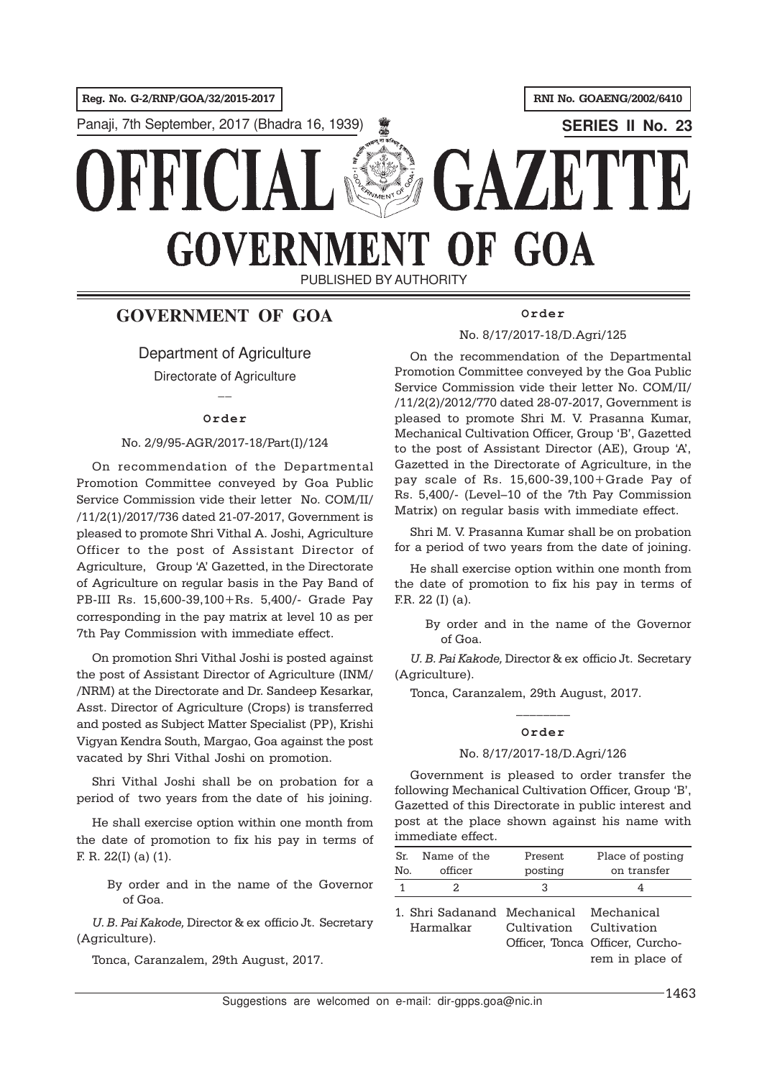

PUBLISHED BY AUTHORITY

## **GOVERNMENT OF GOA**

No. 8/17/2017-18/D.Agri/125

**Order**

Department of Agriculture

Directorate of Agriculture  $\overline{\phantom{a}}$ 

## **Order**

## No. 2/9/95-AGR/2017-18/Part(I)/124

On recommendation of the Departmental Promotion Committee conveyed by Goa Public Service Commission vide their letter No. COM/II/ /11/2(1)/2017/736 dated 21-07-2017, Government is pleased to promote Shri Vithal A. Joshi, Agriculture Officer to the post of Assistant Director of Agriculture, Group 'A' Gazetted, in the Directorate of Agriculture on regular basis in the Pay Band of PB-III Rs. 15,600-39,100+Rs. 5,400/- Grade Pay corresponding in the pay matrix at level 10 as per 7th Pay Commission with immediate effect.

On promotion Shri Vithal Joshi is posted against the post of Assistant Director of Agriculture (INM/ /NRM) at the Directorate and Dr. Sandeep Kesarkar, Asst. Director of Agriculture (Crops) is transferred and posted as Subject Matter Specialist (PP), Krishi Vigyan Kendra South, Margao, Goa against the post vacated by Shri Vithal Joshi on promotion.

Shri Vithal Joshi shall be on probation for a period of two years from the date of his joining.

He shall exercise option within one month from the date of promotion to fix his pay in terms of F. R. 22(I) (a) (1).

> By order and in the name of the Governor of Goa.

U. B. Pai Kakode, Director & ex officio Jt. Secretary (Agriculture).

Tonca, Caranzalem, 29th August, 2017.

On the recommendation of the Departmental Promotion Committee conveyed by the Goa Public Service Commission vide their letter No. COM/II/ /11/2(2)/2012/770 dated 28-07-2017, Government is pleased to promote Shri M. V. Prasanna Kumar, Mechanical Cultivation Officer, Group 'B', Gazetted to the post of Assistant Director (AE), Group 'A', Gazetted in the Directorate of Agriculture, in the pay scale of Rs. 15,600-39,100+Grade Pay of Rs. 5,400/- (Level–10 of the 7th Pay Commission Matrix) on regular basis with immediate effect.

Shri M. V. Prasanna Kumar shall be on probation for a period of two years from the date of joining.

He shall exercise option within one month from the date of promotion to fix his pay in terms of F.R. 22 (I) (a).

> By order and in the name of the Governor of Goa.

U. B. Pai Kakode, Director & ex officio Jt. Secretary (Agriculture).

Tonca, Caranzalem, 29th August, 2017.

## \_\_\_\_\_\_\_\_ **Order**

## No. 8/17/2017-18/D.Agri/126

Government is pleased to order transfer the following Mechanical Cultivation Officer, Group 'B', Gazetted of this Directorate in public interest and post at the place shown against his name with immediate effect.

| Sr. | Name of the                                         | Present.                | Place of posting                                   |  |
|-----|-----------------------------------------------------|-------------------------|----------------------------------------------------|--|
| No. | officer                                             | posting                 | on transfer                                        |  |
| 1   |                                                     | З                       |                                                    |  |
|     | 1. Shri Sadanand Mechanical Mechanical<br>Harmalkar | Cultivation Cultivation | Officer, Tonca Officer, Curcho-<br>rem in place of |  |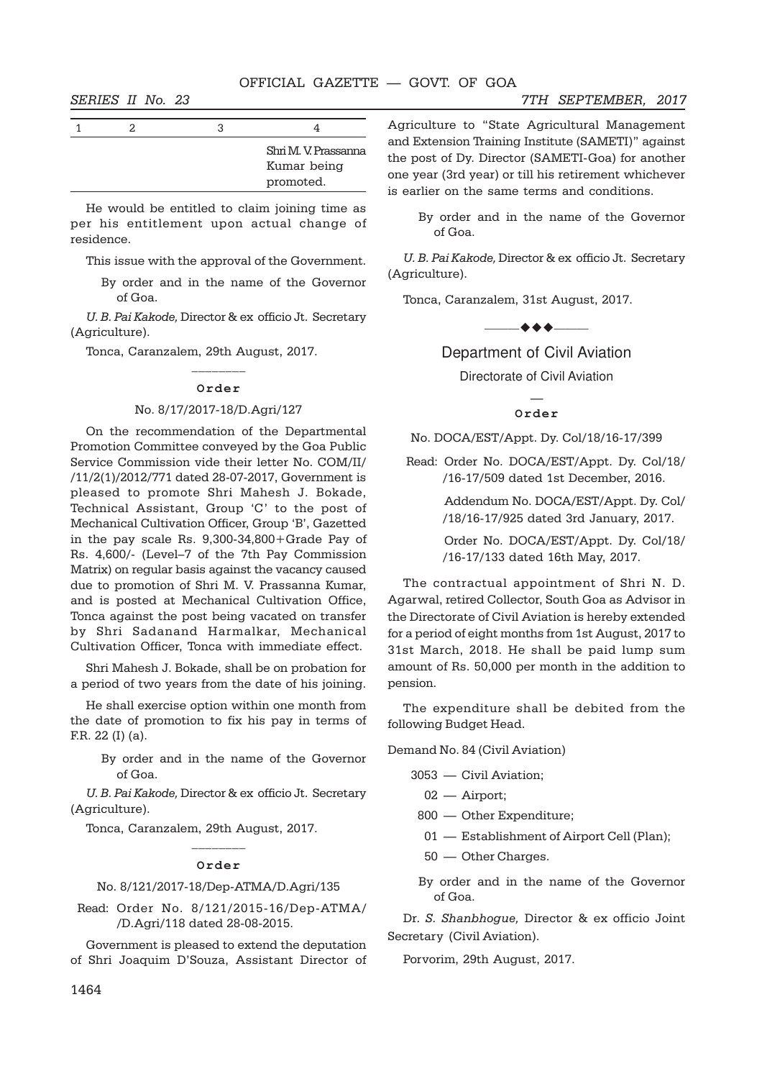|  | Shri M. V. Prassanna<br>Kumar being<br>promoted. |
|--|--------------------------------------------------|
|  |                                                  |

He would be entitled to claim joining time as per his entitlement upon actual change of residence.

This issue with the approval of the Government.

By order and in the name of the Governor of Goa.

U. B. Pai Kakode, Director & ex officio Jt. Secretary (Agriculture).

Tonca, Caranzalem, 29th August, 2017.

## \_\_\_\_\_\_\_\_ **Order**

### No. 8/17/2017-18/D.Agri/127

On the recommendation of the Departmental Promotion Committee conveyed by the Goa Public Service Commission vide their letter No. COM/II/ /11/2(1)/2012/771 dated 28-07-2017, Government is pleased to promote Shri Mahesh J. Bokade, Technical Assistant, Group 'C' to the post of Mechanical Cultivation Officer, Group 'B', Gazetted in the pay scale Rs. 9,300-34,800+Grade Pay of Rs. 4,600/- (Level–7 of the 7th Pay Commission Matrix) on regular basis against the vacancy caused due to promotion of Shri M. V. Prassanna Kumar, and is posted at Mechanical Cultivation Office, Tonca against the post being vacated on transfer by Shri Sadanand Harmalkar, Mechanical Cultivation Officer, Tonca with immediate effect.

Shri Mahesh J. Bokade, shall be on probation for a period of two years from the date of his joining.

He shall exercise option within one month from the date of promotion to fix his pay in terms of F.R. 22 (I) (a).

> By order and in the name of the Governor of Goa.

U. B. Pai Kakode, Director & ex officio Jt. Secretary (Agriculture).

Tonca, Caranzalem, 29th August, 2017.

## \_\_\_\_\_\_\_\_ **Order**

#### No. 8/121/2017-18/Dep-ATMA/D.Agri/135

Read: Order No. 8/121/2015-16/Dep-ATMA/ /D.Agri/118 dated 28-08-2015.

Government is pleased to extend the deputation of Shri Joaquim D'Souza, Assistant Director of Agriculture to "State Agricultural Management and Extension Training Institute (SAMETI)" against the post of Dy. Director (SAMETI-Goa) for another one year (3rd year) or till his retirement whichever is earlier on the same terms and conditions.

By order and in the name of the Governor of Goa.

U. B. Pai Kakode, Director & ex officio Jt. Secretary (Agriculture).

Tonca, Caranzalem, 31st August, 2017.

 $\rightarrow \rightarrow \rightarrow -$ 

Department of Civil Aviation Directorate of Civil Aviation

## — **Order**

No. DOCA/EST/Appt. Dy. Col/18/16-17/399

Read: Order No. DOCA/EST/Appt. Dy. Col/18/ /16-17/509 dated 1st December, 2016.

> Addendum No. DOCA/EST/Appt. Dy. Col/ /18/16-17/925 dated 3rd January, 2017.

> Order No. DOCA/EST/Appt. Dy. Col/18/ /16-17/133 dated 16th May, 2017.

The contractual appointment of Shri N. D. Agarwal, retired Collector, South Goa as Advisor in the Directorate of Civil Aviation is hereby extended for a period of eight months from 1st August, 2017 to 31st March, 2018. He shall be paid lump sum amount of Rs. 50,000 per month in the addition to pension.

The expenditure shall be debited from the following Budget Head.

Demand No. 84 (Civil Aviation)

- 3053 Civil Aviation;
	- 02 Airport;
- 800 Other Expenditure;
- 01 Establishment of Airport Cell (Plan);
- 50 Other Charges.
- By order and in the name of the Governor of Goa.

Dr. S. Shanbhogue, Director & ex officio Joint Secretary (Civil Aviation).

Porvorim, 29th August, 2017.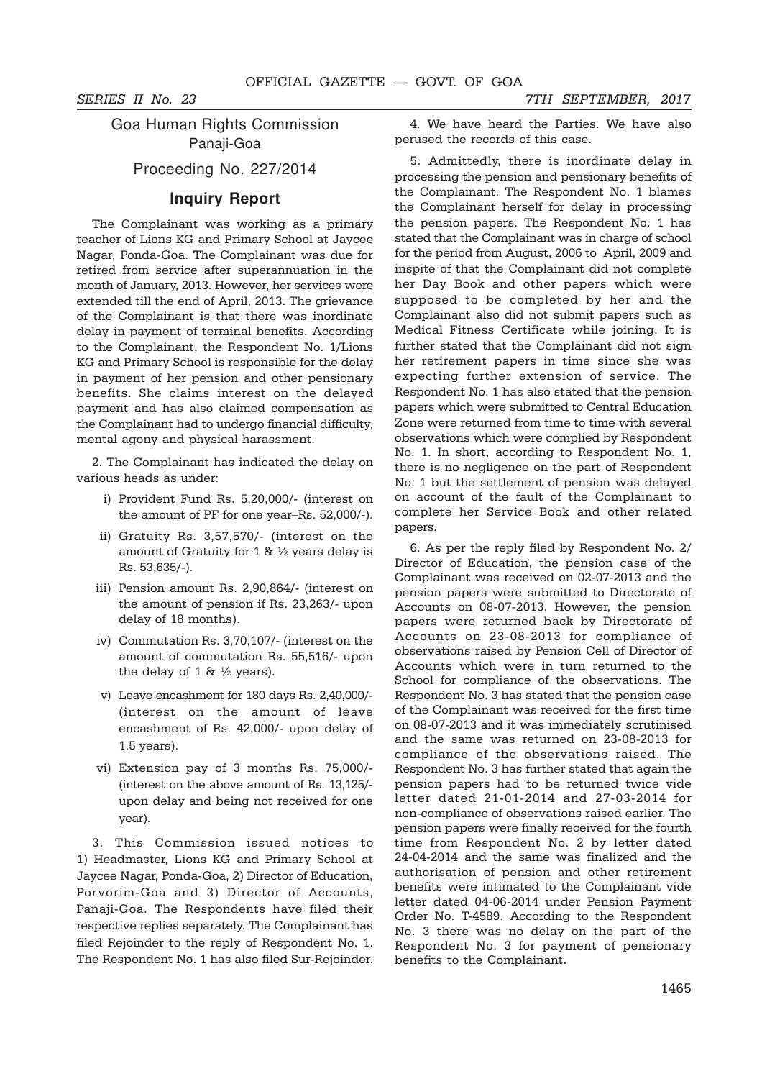Goa Human Rights Commission Panaji-Goa

## Proceeding No. 227/2014

## **Inquiry Report**

The Complainant was working as a primary teacher of Lions KG and Primary School at Jaycee Nagar, Ponda-Goa. The Complainant was due for retired from service after superannuation in the month of January, 2013. However, her services were extended till the end of April, 2013. The grievance of the Complainant is that there was inordinate delay in payment of terminal benefits. According to the Complainant, the Respondent No. 1/Lions KG and Primary School is responsible for the delay in payment of her pension and other pensionary benefits. She claims interest on the delayed payment and has also claimed compensation as the Complainant had to undergo financial difficulty, mental agony and physical harassment.

2. The Complainant has indicated the delay on various heads as under:

- i) Provident Fund Rs. 5,20,000/- (interest on the amount of PF for one year–Rs. 52,000/-).
- ii) Gratuity Rs. 3,57,570/- (interest on the amount of Gratuity for 1 & ½ years delay is Rs. 53,635/-).
- iii) Pension amount Rs. 2,90,864/- (interest on the amount of pension if Rs. 23,263/- upon delay of 18 months).
- iv) Commutation Rs. 3,70,107/- (interest on the amount of commutation Rs. 55,516/- upon the delay of 1 &  $\frac{1}{2}$  years).
- v) Leave encashment for 180 days Rs. 2,40,000/- (interest on the amount of leave encashment of Rs. 42,000/- upon delay of 1.5 years).
- vi) Extension pay of 3 months Rs. 75,000/- (interest on the above amount of Rs. 13,125/ upon delay and being not received for one year).

3. This Commission issued notices to 1) Headmaster, Lions KG and Primary School at Jaycee Nagar, Ponda-Goa, 2) Director of Education, Porvorim-Goa and 3) Director of Accounts, Panaji-Goa. The Respondents have filed their respective replies separately. The Complainant has filed Rejoinder to the reply of Respondent No. 1. The Respondent No. 1 has also filed Sur-Rejoinder.

4. We have heard the Parties. We have also perused the records of this case.

5. Admittedly, there is inordinate delay in processing the pension and pensionary benefits of the Complainant. The Respondent No. 1 blames the Complainant herself for delay in processing the pension papers. The Respondent No. 1 has stated that the Complainant was in charge of school for the period from August, 2006 to April, 2009 and inspite of that the Complainant did not complete her Day Book and other papers which were supposed to be completed by her and the Complainant also did not submit papers such as Medical Fitness Certificate while joining. It is further stated that the Complainant did not sign her retirement papers in time since she was expecting further extension of service. The Respondent No. 1 has also stated that the pension papers which were submitted to Central Education Zone were returned from time to time with several observations which were complied by Respondent No. 1. In short, according to Respondent No. 1, there is no negligence on the part of Respondent No. 1 but the settlement of pension was delayed on account of the fault of the Complainant to complete her Service Book and other related papers.

6. As per the reply filed by Respondent No. 2/ Director of Education, the pension case of the Complainant was received on 02-07-2013 and the pension papers were submitted to Directorate of Accounts on 08-07-2013. However, the pension papers were returned back by Directorate of Accounts on 23-08-2013 for compliance of observations raised by Pension Cell of Director of Accounts which were in turn returned to the School for compliance of the observations. The Respondent No. 3 has stated that the pension case of the Complainant was received for the first time on 08-07-2013 and it was immediately scrutinised and the same was returned on 23-08-2013 for compliance of the observations raised. The Respondent No. 3 has further stated that again the pension papers had to be returned twice vide letter dated 21-01-2014 and 27-03-2014 for non-compliance of observations raised earlier. The pension papers were finally received for the fourth time from Respondent No. 2 by letter dated 24-04-2014 and the same was finalized and the authorisation of pension and other retirement benefits were intimated to the Complainant vide letter dated 04-06-2014 under Pension Payment Order No. T-4589. According to the Respondent No. 3 there was no delay on the part of the Respondent No. 3 for payment of pensionary benefits to the Complainant.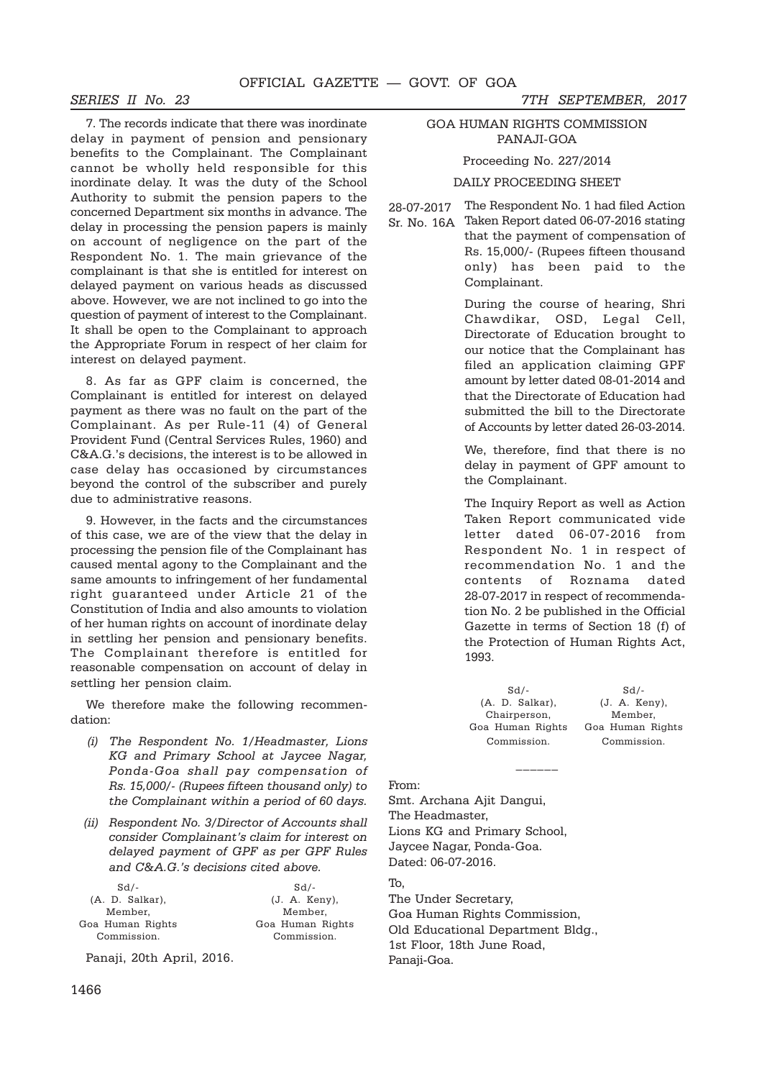7. The records indicate that there was inordinate delay in payment of pension and pensionary benefits to the Complainant. The Complainant cannot be wholly held responsible for this inordinate delay. It was the duty of the School Authority to submit the pension papers to the concerned Department six months in advance. The delay in processing the pension papers is mainly on account of negligence on the part of the Respondent No. 1. The main grievance of the complainant is that she is entitled for interest on delayed payment on various heads as discussed above. However, we are not inclined to go into the question of payment of interest to the Complainant. It shall be open to the Complainant to approach the Appropriate Forum in respect of her claim for interest on delayed payment.

8. As far as GPF claim is concerned, the Complainant is entitled for interest on delayed payment as there was no fault on the part of the Complainant. As per Rule-11 (4) of General Provident Fund (Central Services Rules, 1960) and C&A.G.'s decisions, the interest is to be allowed in case delay has occasioned by circumstances beyond the control of the subscriber and purely due to administrative reasons.

9. However, in the facts and the circumstances of this case, we are of the view that the delay in processing the pension file of the Complainant has caused mental agony to the Complainant and the same amounts to infringement of her fundamental right guaranteed under Article 21 of the Constitution of India and also amounts to violation of her human rights on account of inordinate delay in settling her pension and pensionary benefits. The Complainant therefore is entitled for reasonable compensation on account of delay in settling her pension claim.

We therefore make the following recommendation:

- (i) The Respondent No. 1/Headmaster, Lions KG and Primary School at Jaycee Nagar, Ponda-Goa shall pay compensation of Rs. 15,000/- (Rupees fifteen thousand only) to the Complainant within a period of 60 days.
- (ii) Respondent No. 3/Director of Accounts shall consider Complainant's claim for interest on delayed payment of GPF as per GPF Rules and C&A.G.'s decisions cited above.

| $Sd$ .           | $Sd$ .           |
|------------------|------------------|
| (A. D. Salkar),  | $(J. A.$ Keny).  |
| Member.          | Member.          |
| Goa Human Rights | Goa Human Rights |
| Commission.      | Commission.      |

Panaji, 20th April, 2016.

1466

## GOA HUMAN RIGHTS COMMISSION PANAJI-GOA

## Proceeding No. 227/2014

## DAILY PROCEEDING SHEET

28-07-2017 The Respondent No. 1 had filed Action

Sr. No. 16A Taken Report dated 06-07-2016 stating that the payment of compensation of Rs. 15,000/- (Rupees fifteen thousand only) has been paid to the Complainant.

> During the course of hearing, Shri Chawdikar, OSD, Legal Cell, Directorate of Education brought to our notice that the Complainant has filed an application claiming GPF amount by letter dated 08-01-2014 and that the Directorate of Education had submitted the bill to the Directorate of Accounts by letter dated 26-03-2014.

> We, therefore, find that there is no delay in payment of GPF amount to the Complainant.

> The Inquiry Report as well as Action Taken Report communicated vide letter dated 06-07-2016 from Respondent No. 1 in respect of recommendation No. 1 and the contents of Roznama dated 28-07-2017 in respect of recommendation No. 2 be published in the Official Gazette in terms of Section 18 (f) of the Protection of Human Rights Act, 1993.

(A. D. Salkar), Chairperson, Member,<br>Goa Human Rights Goa Human R Commission. Commission.

 $\overline{\phantom{a}}$ 

Sd/-<br>
Sd/-<br>
Salkar), (J. A. Keny), Goa Human Rights Goa Human Rights

From:

Smt. Archana Ajit Dangui, The Headmaster, Lions KG and Primary School, Jaycee Nagar, Ponda-Goa. Dated: 06-07-2016.

To,

The Under Secretary, Goa Human Rights Commission, Old Educational Department Bldg., 1st Floor, 18th June Road, Panaji-Goa.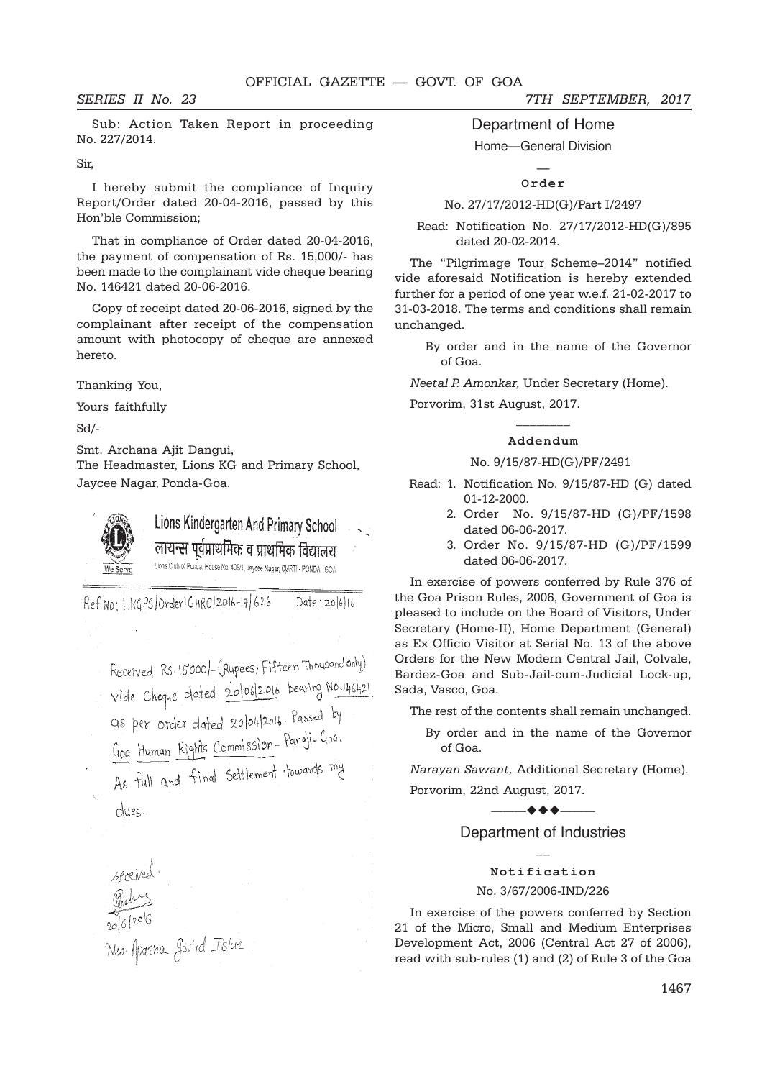Sub: Action Taken Report in proceeding No. 227/2014.

Sir,

I hereby submit the compliance of Inquiry Report/Order dated 20-04-2016, passed by this Hon'ble Commission;

That in compliance of Order dated 20-04-2016, the payment of compensation of Rs. 15,000/- has been made to the complainant vide cheque bearing No. 146421 dated 20-06-2016.

Copy of receipt dated 20-06-2016, signed by the complainant after receipt of the compensation amount with photocopy of cheque are annexed hereto.

Thanking You,

Yours faithfully

Sd/-

Smt. Archana Ajit Dangui,

The Headmaster, Lions KG and Primary School, Jaycee Nagar, Ponda-Goa.



# Lions Kindergarten And Primary School लायन्स पूर्वप्राथमिक व प्राथमिक विद्यालय

Lions Club of Ponda, House No. 408/1, Jaycee Nagar, CURTI - PONDA - GOA

Ref. No. LKGPS/Order/GHRC/2016-17/626  $Date:2016116$ 

Received RS. 15000/- (Rupees: Fifteen Thousand only) vide Cheque clated 20106/2016 bearing No.146421 as per order dated 20/04/2016. Passed by Go per Order Gajea 2010-11-00<br>Goa Human Rights Commission-Panaji-Goa. As full and final Settlement towards my

dues.

No Aparna govind Isluz

SERIES II No. 23 7TH SEPTEMBER, 2017

## Department of Home

Home—General Division

## — **Order**

#### No. 27/17/2012-HD(G)/Part I/2497

Read: Notification No. 27/17/2012-HD(G)/895 dated 20-02-2014.

The "Pilgrimage Tour Scheme–2014" notified vide aforesaid Notification is hereby extended further for a period of one year w.e.f. 21-02-2017 to 31-03-2018. The terms and conditions shall remain unchanged.

> By order and in the name of the Governor of Goa.

Neetal P. Amonkar, Under Secretary (Home).

Porvorim, 31st August, 2017.

## \_\_\_\_\_\_\_\_ **Addendum**

## No. 9/15/87-HD(G)/PF/2491

- Read: 1. Notification No. 9/15/87-HD (G) dated 01-12-2000.
	- 2. Order No. 9/15/87-HD (G)/PF/1598 dated 06-06-2017.
	- 3. Order No. 9/15/87-HD (G)/PF/1599 dated 06-06-2017.

In exercise of powers conferred by Rule 376 of the Goa Prison Rules, 2006, Government of Goa is pleased to include on the Board of Visitors, Under Secretary (Home-II), Home Department (General) as Ex Officio Visitor at Serial No. 13 of the above Orders for the New Modern Central Jail, Colvale, Bardez-Goa and Sub-Jail-cum-Judicial Lock-up, Sada, Vasco, Goa.

The rest of the contents shall remain unchanged.

By order and in the name of the Governor of Goa.

Narayan Sawant, Additional Secretary (Home). Porvorim, 22nd August, 2017.



## Department of Industries  $\overline{\phantom{a}}$

## **Notification** No. 3/67/2006-IND/226

In exercise of the powers conferred by Section 21 of the Micro, Small and Medium Enterprises Development Act, 2006 (Central Act 27 of 2006), read with sub-rules (1) and (2) of Rule 3 of the Goa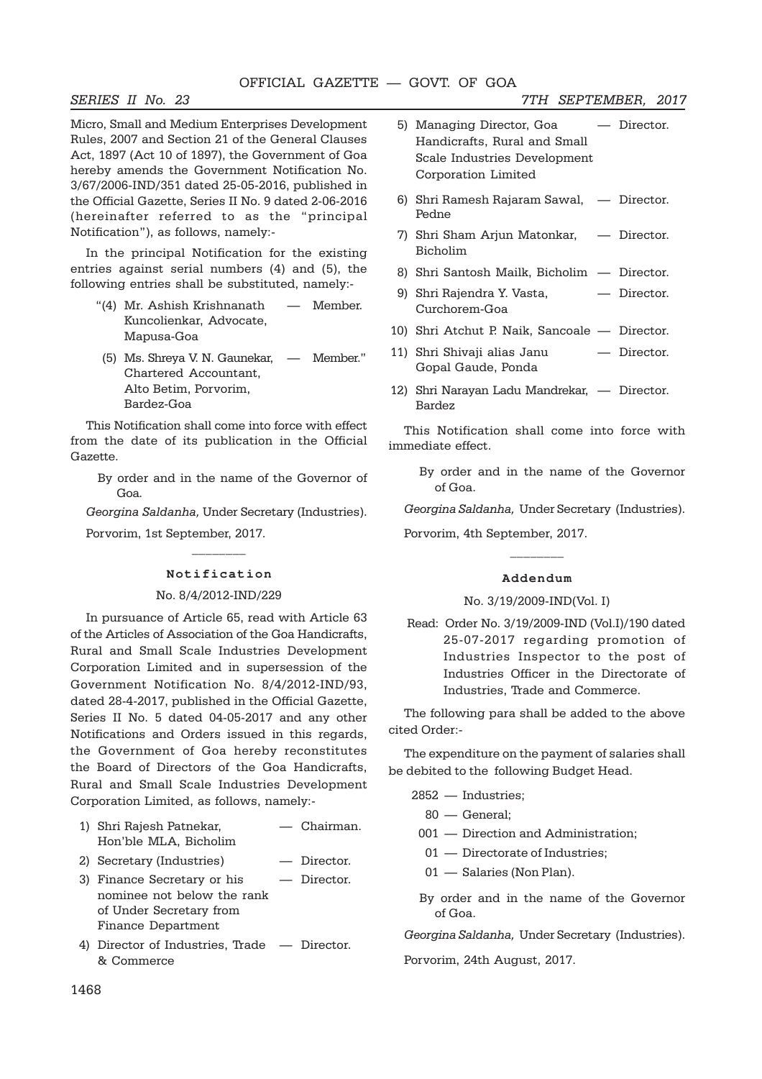## SERIES II No. 23 7TH SEPTEMBER, 2017

Micro, Small and Medium Enterprises Development Rules, 2007 and Section 21 of the General Clauses Act, 1897 (Act 10 of 1897), the Government of Goa hereby amends the Government Notification No. 3/67/2006-IND/351 dated 25-05-2016, published in the Official Gazette, Series II No. 9 dated 2-06-2016 (hereinafter referred to as the "principal Notification"), as follows, namely:-

In the principal Notification for the existing entries against serial numbers (4) and (5), the following entries shall be substituted, namely:-

- "(4) Mr. Ashish Krishnanath Member. Kuncolienkar, Advocate, Mapusa-Goa
- (5) Ms. Shreya V. N. Gaunekar, Member." Chartered Accountant, Alto Betim, Porvorim, Bardez-Goa

This Notification shall come into force with effect from the date of its publication in the Official Gazette.

By order and in the name of the Governor of Goa.

Georgina Saldanha, Under Secretary (Industries).

Porvorim, 1st September, 2017.

## \_\_\_\_\_\_\_\_\_\_\_ **Notification**

## No. 8/4/2012-IND/229

In pursuance of Article 65, read with Article 63 of the Articles of Association of the Goa Handicrafts, Rural and Small Scale Industries Development Corporation Limited and in supersession of the Government Notification No. 8/4/2012-IND/93, dated 28-4-2017, published in the Official Gazette, Series II No. 5 dated 04-05-2017 and any other Notifications and Orders issued in this regards, the Government of Goa hereby reconstitutes the Board of Directors of the Goa Handicrafts, Rural and Small Scale Industries Development Corporation Limited, as follows, namely:-

| 1) Shri Rajesh Patnekar, | $-$ Chairman. |
|--------------------------|---------------|
| Hon'ble MLA, Bicholim    |               |

2) Secretary (Industries) — Director.

- 3) Finance Secretary or his Director. nominee not below the rank of Under Secretary from Finance Department
- 4) Director of Industries, Trade Director. & Commerce
- 5) Managing Director, Goa Director. Handicrafts, Rural and Small Scale Industries Development Corporation Limited 6) Shri Ramesh Rajaram Sawal, — Director. Pedne
- 7) Shri Sham Arjun Matonkar, Director. Bicholim
- 8) Shri Santosh Mailk, Bicholim Director.
- 9) Shri Rajendra Y. Vasta, Director. Curchorem-Goa
- 10) Shri Atchut P. Naik, Sancoale Director.
- 11) Shri Shivaji alias Janu Director. Gopal Gaude, Ponda
- 12) Shri Narayan Ladu Mandrekar, Director. Bardez

This Notification shall come into force with immediate effect.

By order and in the name of the Governor of Goa.

Georgina Saldanha, Under Secretary (Industries).

Porvorim, 4th September, 2017.

#### **Addendum**

\_\_\_\_\_\_\_\_

#### No. 3/19/2009-IND(Vol. I)

Read: Order No. 3/19/2009-IND (Vol.I)/190 dated 25-07-2017 regarding promotion of Industries Inspector to the post of Industries Officer in the Directorate of Industries, Trade and Commerce.

The following para shall be added to the above cited Order:-

The expenditure on the payment of salaries shall be debited to the following Budget Head.

- 2852 Industries;
	- 80 General;
- 001 Direction and Administration;
- 01 Directorate of Industries;
- 01 Salaries (Non Plan).
- By order and in the name of the Governor of Goa.

Georgina Saldanha, Under Secretary (Industries).

Porvorim, 24th August, 2017.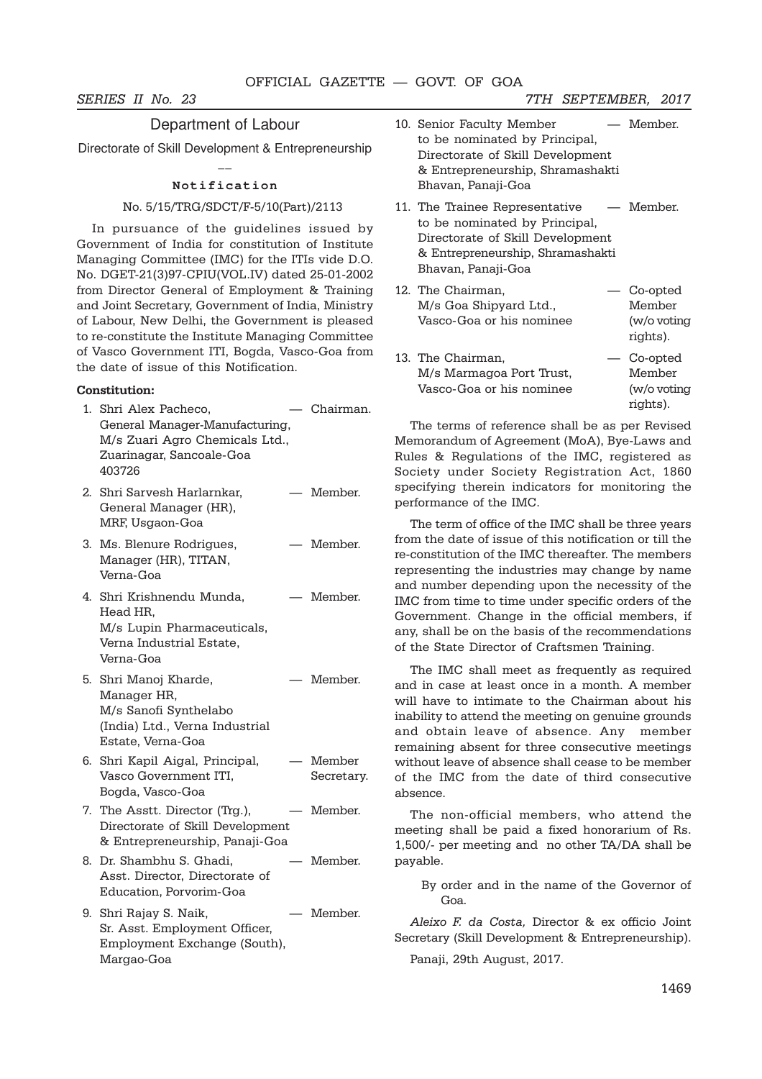## Department of Labour

Directorate of Skill Development & Entrepreneurship  $\overline{\phantom{a}}$ 

### **Notification**

### No. 5/15/TRG/SDCT/F-5/10(Part)/2113

In pursuance of the guidelines issued by Government of India for constitution of Institute Managing Committee (IMC) for the ITIs vide D.O. No. DGET-21(3)97-CPIU(VOL.IV) dated 25-01-2002 from Director General of Employment & Training and Joint Secretary, Government of India, Ministry of Labour, New Delhi, the Government is pleased to re-constitute the Institute Managing Committee of Vasco Government ITI, Bogda, Vasco-Goa from the date of issue of this Notification.

## Constitution:

- 1. Shri Alex Pacheco, Chairman. General Manager-Manufacturing, M/s Zuari Agro Chemicals Ltd., Zuarinagar, Sancoale-Goa 403726
- 2. Shri Sarvesh Harlarnkar, Member. General Manager (HR), MRF, Usgaon-Goa
- 3. Ms. Blenure Rodrigues, Member. Manager (HR), TITAN, Verna-Goa
- 4. Shri Krishnendu Munda, Member. Head HR, M/s Lupin Pharmaceuticals, Verna Industrial Estate, Verna-Goa
- 5. Shri Manoj Kharde, Member. Manager HR, M/s Sanofi Synthelabo (India) Ltd., Verna Industrial Estate, Verna-Goa
- 6. Shri Kapil Aigal, Principal, Member Vasco Government ITI, Secretary. Bogda, Vasco-Goa
- 7. The Asstt. Director (Trg.), Member. Directorate of Skill Development & Entrepreneurship, Panaji-Goa
- 8. Dr. Shambhu S. Ghadi, Member. Asst. Director, Directorate of Education, Porvorim-Goa
- 9. Shri Rajay S. Naik, Member. Sr. Asst. Employment Officer, Employment Exchange (South), Margao-Goa
- 10. Senior Faculty Member Member. to be nominated by Principal, Directorate of Skill Development & Entrepreneurship, Shramashakti Bhavan, Panaji-Goa
- 11. The Trainee Representative Member. to be nominated by Principal, Directorate of Skill Development & Entrepreneurship, Shramashakti Bhavan, Panaji-Goa

| 12. The Chairman,<br>M/s Goa Shipyard Ltd.,<br>Vasco-Goa or his nominee   | — Co-opted<br>Member<br>(w/o voting<br>rights). |
|---------------------------------------------------------------------------|-------------------------------------------------|
| 13. The Chairman,<br>M/s Marmagoa Port Trust,<br>Vasco-Goa or his nominee | — Co-opted<br>Member<br>(w/o voting<br>rights). |

The terms of reference shall be as per Revised Memorandum of Agreement (MoA), Bye-Laws and Rules & Regulations of the IMC, registered as Society under Society Registration Act, 1860 specifying therein indicators for monitoring the performance of the IMC.

The term of office of the IMC shall be three years from the date of issue of this notification or till the re-constitution of the IMC thereafter. The members representing the industries may change by name and number depending upon the necessity of the IMC from time to time under specific orders of the Government. Change in the official members, if any, shall be on the basis of the recommendations of the State Director of Craftsmen Training.

The IMC shall meet as frequently as required and in case at least once in a month. A member will have to intimate to the Chairman about his inability to attend the meeting on genuine grounds and obtain leave of absence. Any member remaining absent for three consecutive meetings without leave of absence shall cease to be member of the IMC from the date of third consecutive absence.

The non-official members, who attend the meeting shall be paid a fixed honorarium of Rs. 1,500/- per meeting and no other TA/DA shall be payable.

By order and in the name of the Governor of Goa.

Aleixo F. da Costa, Director & ex officio Joint Secretary (Skill Development & Entrepreneurship).

Panaji, 29th August, 2017.

## SERIES II No. 23 **7TH SEPTEMBER, 2017**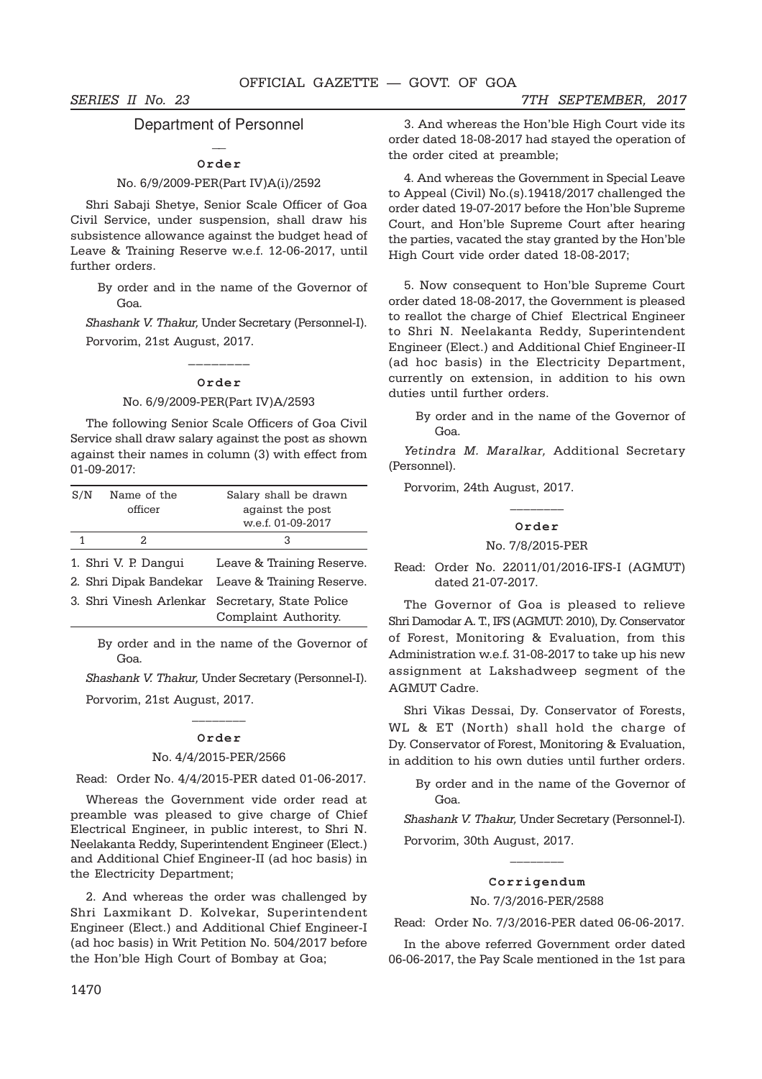## Department of Personnel

## $\overline{\phantom{a}}$ **Order**

#### No. 6/9/2009-PER(Part IV)A(i)/2592

Shri Sabaji Shetye, Senior Scale Officer of Goa Civil Service, under suspension, shall draw his subsistence allowance against the budget head of Leave & Training Reserve w.e.f. 12-06-2017, until further orders.

By order and in the name of the Governor of Goa.

Shashank V. Thakur, Under Secretary (Personnel-I). Porvorim, 21st August, 2017.

## \_\_\_\_\_\_\_\_ **Order**

#### No. 6/9/2009-PER(Part IV)A/2593

The following Senior Scale Officers of Goa Civil Service shall draw salary against the post as shown against their names in column (3) with effect from 01-09-2017:

| S/N | Name of the<br>officer  | Salary shall be drawn<br>against the post<br>w.e.f. 01-09-2017 |
|-----|-------------------------|----------------------------------------------------------------|
| 1   | 2.                      | З                                                              |
|     | 1. Shri V. P. Dangui    | Leave & Training Reserve.                                      |
|     |                         | 2. Shri Dipak Bandekar Leave & Training Reserve.               |
|     | 3. Shri Vinesh Arlenkar | Secretary, State Police<br>Complaint Authority.                |

By order and in the name of the Governor of Goa.

Shashank V. Thakur, Under Secretary (Personnel-I). Porvorim, 21st August, 2017.

## \_\_\_\_\_\_\_\_ **Order**

### No. 4/4/2015-PER/2566

Read: Order No. 4/4/2015-PER dated 01-06-2017.

Whereas the Government vide order read at preamble was pleased to give charge of Chief Electrical Engineer, in public interest, to Shri N. Neelakanta Reddy, Superintendent Engineer (Elect.) and Additional Chief Engineer-II (ad hoc basis) in the Electricity Department;

2. And whereas the order was challenged by Shri Laxmikant D. Kolvekar, Superintendent Engineer (Elect.) and Additional Chief Engineer-I (ad hoc basis) in Writ Petition No. 504/2017 before the Hon'ble High Court of Bombay at Goa;

3. And whereas the Hon'ble High Court vide its order dated 18-08-2017 had stayed the operation of the order cited at preamble;

4. And whereas the Government in Special Leave to Appeal (Civil) No.(s).19418/2017 challenged the order dated 19-07-2017 before the Hon'ble Supreme Court, and Hon'ble Supreme Court after hearing the parties, vacated the stay granted by the Hon'ble High Court vide order dated 18-08-2017;

5. Now consequent to Hon'ble Supreme Court order dated 18-08-2017, the Government is pleased to reallot the charge of Chief Electrical Engineer to Shri N. Neelakanta Reddy, Superintendent Engineer (Elect.) and Additional Chief Engineer-II (ad hoc basis) in the Electricity Department, currently on extension, in addition to his own duties until further orders.

By order and in the name of the Governor of Goa.

Yetindra M. Maralkar, Additional Secretary (Personnel).

Porvorim, 24th August, 2017.

## \_\_\_\_\_\_\_\_ **Order**

#### No. 7/8/2015-PER

Read: Order No. 22011/01/2016-IFS-I (AGMUT) dated 21-07-2017.

The Governor of Goa is pleased to relieve Shri Damodar A. T., IFS (AGMUT: 2010), Dy. Conservator of Forest, Monitoring & Evaluation, from this Administration w.e.f. 31-08-2017 to take up his new assignment at Lakshadweep segment of the AGMUT Cadre.

Shri Vikas Dessai, Dy. Conservator of Forests, WL & ET (North) shall hold the charge of Dy. Conservator of Forest, Monitoring & Evaluation, in addition to his own duties until further orders.

By order and in the name of the Governor of Goa.

Shashank V. Thakur, Under Secretary (Personnel-I).

Porvorim, 30th August, 2017.

## **Corrigendum**

\_\_\_\_\_\_\_\_

## No. 7/3/2016-PER/2588

Read: Order No. 7/3/2016-PER dated 06-06-2017.

In the above referred Government order dated 06-06-2017, the Pay Scale mentioned in the 1st para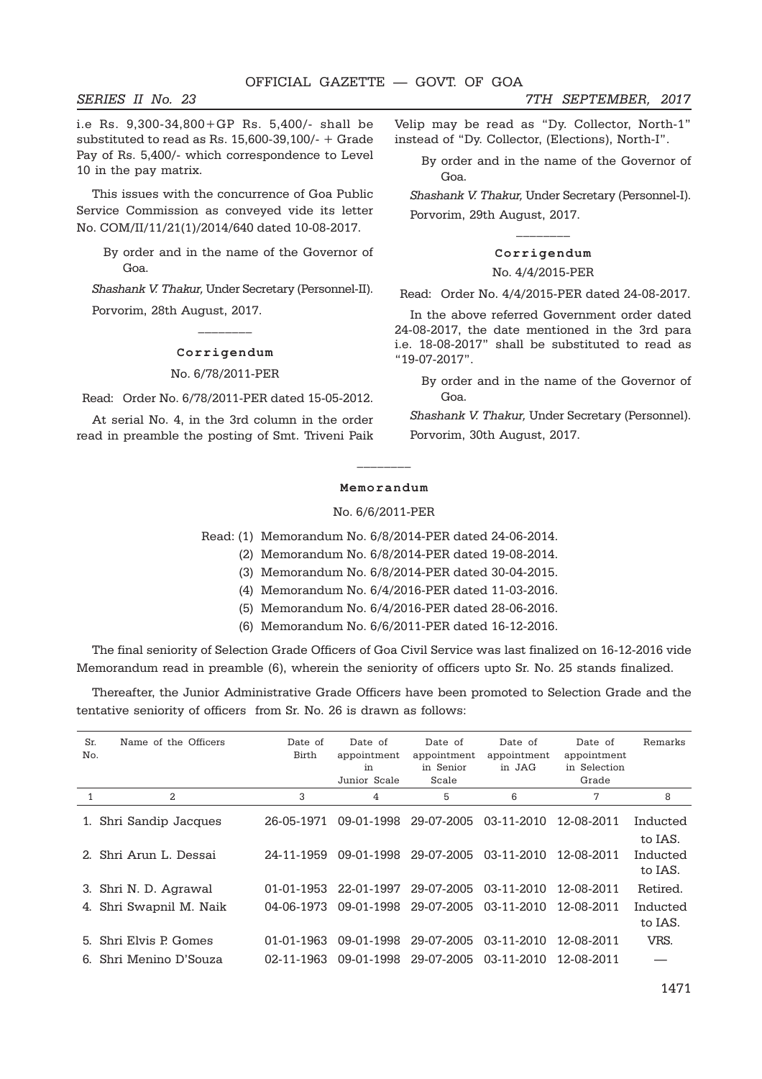i.e Rs. 9,300-34,800+GP Rs. 5,400/- shall be substituted to read as Rs.  $15,600-39,100/$ - + Grade Pay of Rs. 5,400/- which correspondence to Level 10 in the pay matrix.

This issues with the concurrence of Goa Public Service Commission as conveyed vide its letter No. COM/II/11/21(1)/2014/640 dated 10-08-2017.

By order and in the name of the Governor of Goa.

Shashank V. Thakur, Under Secretary (Personnel-II).

Porvorim, 28th August, 2017.

## \_\_\_\_\_\_\_\_ **Corrigendum**

#### No. 6/78/2011-PER

Read: Order No. 6/78/2011-PER dated 15-05-2012.

At serial No. 4, in the 3rd column in the order read in preamble the posting of Smt. Triveni Paik Velip may be read as "Dy. Collector, North-1" instead of "Dy. Collector, (Elections), North-I".

By order and in the name of the Governor of Goa.

Shashank V. Thakur, Under Secretary (Personnel-I). Porvorim, 29th August, 2017.

## \_\_\_\_\_\_\_\_ **Corrigendum**

### No. 4/4/2015-PER

Read: Order No. 4/4/2015-PER dated 24-08-2017.

In the above referred Government order dated 24-08-2017, the date mentioned in the 3rd para i.e. 18-08-2017" shall be substituted to read as "19-07-2017".

By order and in the name of the Governor of Goa.

Shashank V. Thakur, Under Secretary (Personnel). Porvorim, 30th August, 2017.

#### **Memorandum**

\_\_\_\_\_\_\_\_

## No. 6/6/2011-PER

Read: (1) Memorandum No. 6/8/2014-PER dated 24-06-2014.

- (2) Memorandum No. 6/8/2014-PER dated 19-08-2014.
- (3) Memorandum No. 6/8/2014-PER dated 30-04-2015.
- (4) Memorandum No. 6/4/2016-PER dated 11-03-2016.
- (5) Memorandum No. 6/4/2016-PER dated 28-06-2016.
- (6) Memorandum No. 6/6/2011-PER dated 16-12-2016.

The final seniority of Selection Grade Officers of Goa Civil Service was last finalized on 16-12-2016 vide Memorandum read in preamble (6), wherein the seniority of officers upto Sr. No. 25 stands finalized.

Thereafter, the Junior Administrative Grade Officers have been promoted to Selection Grade and the tentative seniority of officers from Sr. No. 26 is drawn as follows:

| Sr.<br>No. | Name of the Officers  | Date of<br>Birth | Date of<br>appointment<br>in<br>Junior Scale | Date of<br>appointment<br>in Senior<br>Scale | Date of<br>appointment<br>in JAG | Date of<br>appointment<br>in Selection<br>Grade | Remarks             |
|------------|-----------------------|------------------|----------------------------------------------|----------------------------------------------|----------------------------------|-------------------------------------------------|---------------------|
|            | $\overline{2}$        | 3                | 4                                            | 5                                            | 6                                | 7                                               | 8                   |
| 1.         | Shri Sandip Jacques   | 26-05-1971       | 09-01-1998                                   | 29-07-2005                                   | 03-11-2010                       | 12-08-2011                                      | Inducted<br>to IAS. |
| 2          | Shri Arun L. Dessai   | 24-11-1959       | 09-01-1998                                   | 29-07-2005                                   | $03-11-2010$                     | 12-08-2011                                      | Inducted<br>to IAS. |
|            | 3. Shri N. D. Agrawal | 01-01-1953       | 22-01-1997                                   | 29-07-2005                                   | $03-11-2010$                     | 12-08-2011                                      | Retired.            |
| 4.         | Shri Swapnil M. Naik  | 04-06-1973       | 09-01-1998                                   | 29-07-2005                                   | $03-11-2010$                     | 12-08-2011                                      | Inducted<br>to IAS. |
| 5.         | Shri Elvis P Gomes    | $01 - 01 - 1963$ | 09-01-1998                                   | 29-07-2005                                   | $03-11-2010$                     | 12-08-2011                                      | VRS.                |
| 6.         | Shri Menino D'Souza   | 02-11-1963       | 09-01-1998                                   | 29-07-2005                                   | $03-11-2010$                     | 12-08-2011                                      |                     |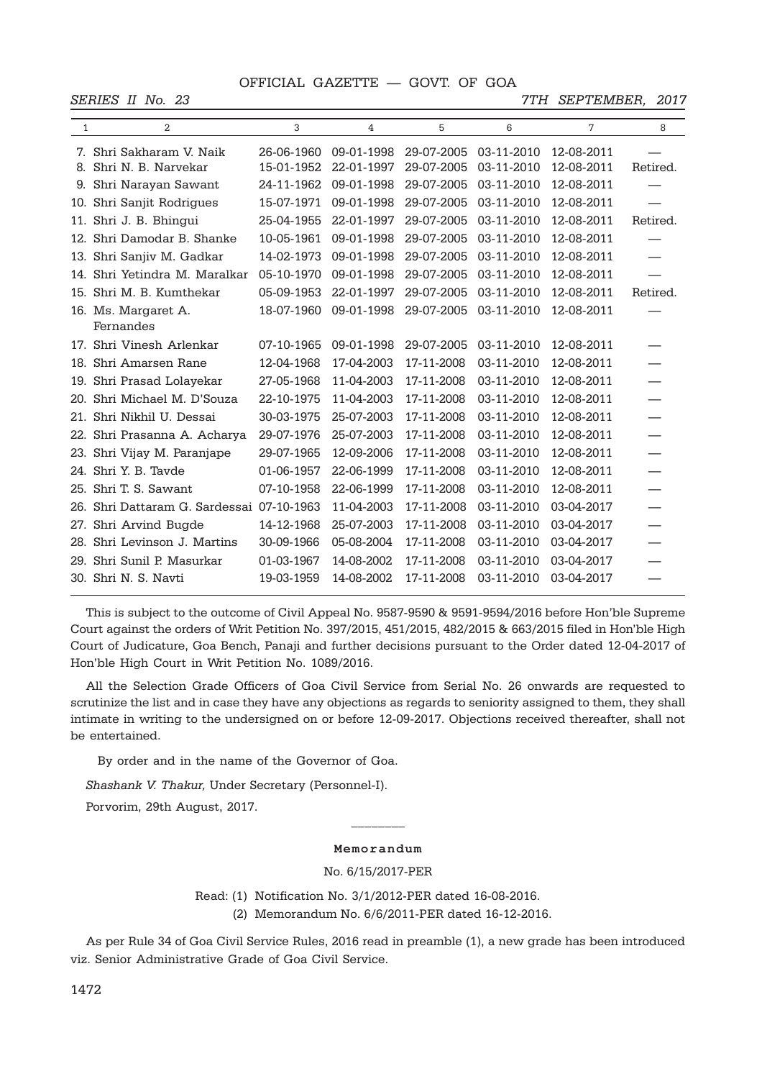OFFICIAL GAZETTE — GOVT. OF GOA

SERIES II No. 23 **7TH SEPTEMBER, 2017** 

| $\mathbf{1}$ | $\overline{a}$                        | 3          | 4          | 5          | 6          | 7          | 8        |
|--------------|---------------------------------------|------------|------------|------------|------------|------------|----------|
| 7            | Shri Sakharam V, Naik                 | 26-06-1960 | 09-01-1998 | 29-07-2005 | 03-11-2010 | 12-08-2011 |          |
| 8.           | Shri N. B. Narvekar                   | 15-01-1952 | 22-01-1997 | 29-07-2005 | 03-11-2010 | 12-08-2011 | Retired. |
| 9.           | Shri Narayan Sawant                   | 24-11-1962 | 09-01-1998 | 29-07-2005 | 03-11-2010 | 12-08-2011 |          |
| 10.          | Shri Sanjit Rodrigues                 | 15-07-1971 | 09-01-1998 | 29-07-2005 | 03-11-2010 | 12-08-2011 |          |
| 11.          | Shri J. B. Bhingui                    | 25-04-1955 | 22-01-1997 | 29-07-2005 | 03-11-2010 | 12-08-2011 | Retired. |
| 12.          | Shri Damodar B. Shanke                | 10-05-1961 | 09-01-1998 | 29-07-2005 | 03-11-2010 | 12-08-2011 |          |
| 13.          | Shri Sanjiv M. Gadkar                 | 14-02-1973 | 09-01-1998 | 29-07-2005 | 03-11-2010 | 12-08-2011 |          |
| 14           | Shri Yetindra M. Maralkar             | 05-10-1970 | 09-01-1998 | 29-07-2005 | 03-11-2010 | 12-08-2011 |          |
| 15.          | Shri M. B. Kumthekar                  | 05-09-1953 | 22-01-1997 | 29-07-2005 | 03-11-2010 | 12-08-2011 | Retired. |
|              | 16. Ms. Margaret A.                   | 18-07-1960 | 09-01-1998 | 29-07-2005 | 03-11-2010 | 12-08-2011 |          |
|              | Fernandes                             |            |            |            |            |            |          |
|              | 17. Shri Vinesh Arlenkar              | 07-10-1965 | 09-01-1998 | 29-07-2005 | 03-11-2010 | 12-08-2011 |          |
| 18.          | Shri Amarsen Rane                     | 12-04-1968 | 17-04-2003 | 17-11-2008 | 03-11-2010 | 12-08-2011 |          |
| 19.          | Shri Prasad Lolayekar                 | 27-05-1968 | 11-04-2003 | 17-11-2008 | 03-11-2010 | 12-08-2011 |          |
| 20.          | Shri Michael M. D'Souza               | 22-10-1975 | 11-04-2003 | 17-11-2008 | 03-11-2010 | 12-08-2011 |          |
| 21.          | Shri Nikhil U. Dessai                 | 30-03-1975 | 25-07-2003 | 17-11-2008 | 03-11-2010 | 12-08-2011 |          |
| 22.          | Shri Prasanna A. Acharya              | 29-07-1976 | 25-07-2003 | 17-11-2008 | 03-11-2010 | 12-08-2011 |          |
| 23.          | Shri Vijay M. Paranjape               | 29-07-1965 | 12-09-2006 | 17-11-2008 | 03-11-2010 | 12-08-2011 |          |
| 24.          | Shri Y. B. Tayde                      | 01-06-1957 | 22-06-1999 | 17-11-2008 | 03-11-2010 | 12-08-2011 |          |
| 25.          | Shri T. S. Sawant                     | 07-10-1958 | 22-06-1999 | 17-11-2008 | 03-11-2010 | 12-08-2011 |          |
| 26.          | Shri Dattaram G. Sardessai 07-10-1963 |            | 11-04-2003 | 17-11-2008 | 03-11-2010 | 03-04-2017 |          |
| 27.          | Shri Arvind Bugde                     | 14-12-1968 | 25-07-2003 | 17-11-2008 | 03-11-2010 | 03-04-2017 |          |
| 28.          | Shri Levinson J. Martins              | 30-09-1966 | 05-08-2004 | 17-11-2008 | 03-11-2010 | 03-04-2017 |          |
| 29.          | Shri Sunil P Masurkar                 | 01-03-1967 | 14-08-2002 | 17-11-2008 | 03-11-2010 | 03-04-2017 |          |
|              | 30. Shri N. S. Navti                  | 19-03-1959 | 14-08-2002 | 17-11-2008 | 03-11-2010 | 03-04-2017 |          |

This is subject to the outcome of Civil Appeal No. 9587-9590 & 9591-9594/2016 before Hon'ble Supreme Court against the orders of Writ Petition No. 397/2015, 451/2015, 482/2015 & 663/2015 filed in Hon'ble High Court of Judicature, Goa Bench, Panaji and further decisions pursuant to the Order dated 12-04-2017 of Hon'ble High Court in Writ Petition No. 1089/2016.

All the Selection Grade Officers of Goa Civil Service from Serial No. 26 onwards are requested to scrutinize the list and in case they have any objections as regards to seniority assigned to them, they shall intimate in writing to the undersigned on or before 12-09-2017. Objections received thereafter, shall not be entertained.

By order and in the name of the Governor of Goa.

Shashank V. Thakur, Under Secretary (Personnel-I).

Porvorim, 29th August, 2017.

## \_\_\_\_\_\_\_\_ **Memorandum**

## No. 6/15/2017-PER

Read: (1) Notification No. 3/1/2012-PER dated 16-08-2016. (2) Memorandum No. 6/6/2011-PER dated 16-12-2016.

As per Rule 34 of Goa Civil Service Rules, 2016 read in preamble (1), a new grade has been introduced viz. Senior Administrative Grade of Goa Civil Service.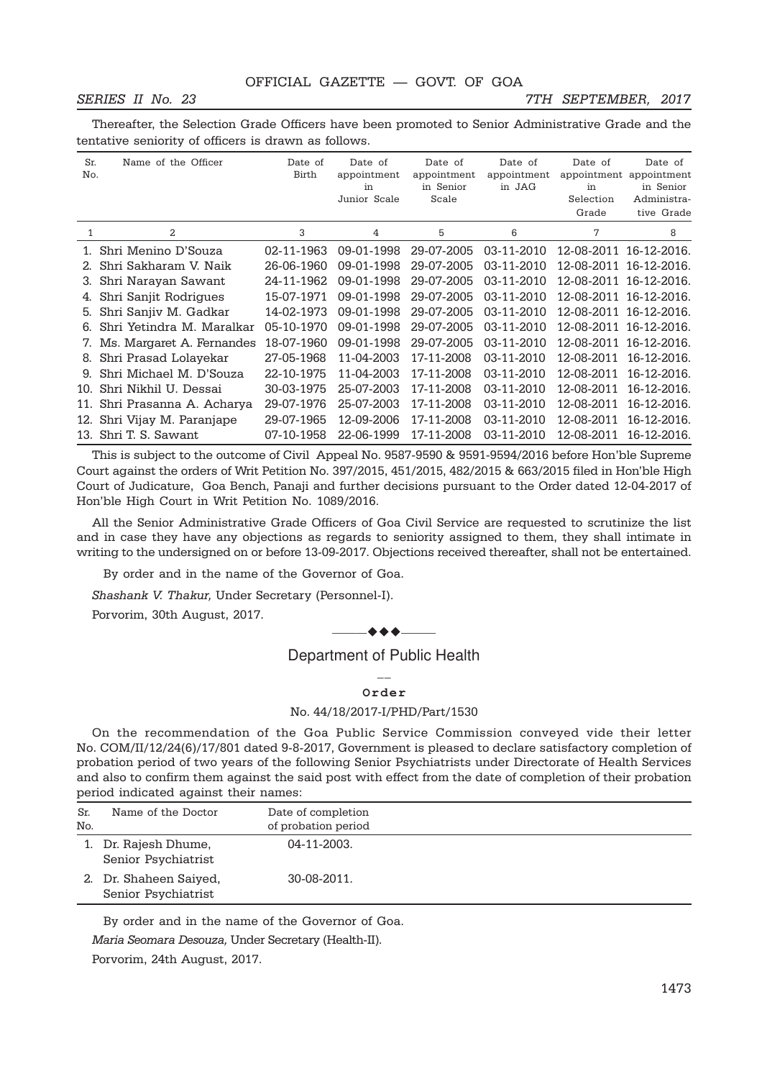## OFFICIAL GAZETTE — GOVT. OF GOA

Thereafter, the Selection Grade Officers have been promoted to Senior Administrative Grade and the tentative seniority of officers is drawn as follows.

| Sr.<br>No.      | Name of the Officer         | Date of<br>Birth | Date of<br>appointment<br>in<br>Junior Scale | Date of<br>appointment<br>in Senior<br>Scale | Date of<br>appointment<br>in JAG | Date of<br>in<br>Selection<br>Grade | Date of<br>appointment appointment<br>in Senior<br>Administra-<br>tive Grade |
|-----------------|-----------------------------|------------------|----------------------------------------------|----------------------------------------------|----------------------------------|-------------------------------------|------------------------------------------------------------------------------|
|                 | 2                           | 3                | 4                                            | 5                                            | 6                                | 7                                   | 8                                                                            |
|                 | Shri Menino D'Souza         | 02-11-1963       | 09-01-1998                                   | 29-07-2005                                   | 03-11-2010                       | 12-08-2011 16-12-2016.              |                                                                              |
| $2_{-}$         | Shri Sakharam V. Naik       | 26-06-1960       | 09-01-1998                                   | 29-07-2005                                   | 03-11-2010                       | 12-08-2011 16-12-2016.              |                                                                              |
| 3.              | Shri Narayan Sawant         | 24-11-1962       | 09-01-1998                                   | 29-07-2005                                   | 03-11-2010                       | 12-08-2011 16-12-2016.              |                                                                              |
| 4.              | Shri Sanjit Rodrigues       | 15-07-1971       | 09-01-1998                                   | 29-07-2005                                   | 03-11-2010                       | 12-08-2011 16-12-2016.              |                                                                              |
| 5.              | Shri Sanjiv M. Gadkar       | 14-02-1973       | 09-01-1998                                   | 29-07-2005                                   | 03-11-2010                       | 12-08-2011 16-12-2016.              |                                                                              |
| 6.              | Shri Yetindra M. Maralkar   | 05-10-1970       | 09-01-1998                                   | 29-07-2005                                   | 03-11-2010                       | 12-08-2011 16-12-2016.              |                                                                              |
| 7.              | Ms. Margaret A. Fernandes   | 18-07-1960       | 09-01-1998                                   | 29-07-2005                                   | 03-11-2010                       | 12-08-2011                          | 16-12-2016.                                                                  |
| 8.              | Shri Prasad Lolayekar       | 27-05-1968       | 11-04-2003                                   | 17-11-2008                                   | 03-11-2010                       | 12-08-2011                          | 16-12-2016.                                                                  |
| 9.              | Shri Michael M. D'Souza     | 22-10-1975       | 11-04-2003                                   | 17-11-2008                                   | 03-11-2010                       | 12-08-2011                          | 16-12-2016.                                                                  |
| 10 <sub>1</sub> | Shri Nikhil U. Dessai       | 30-03-1975       | 25-07-2003                                   | 17-11-2008                                   | 03-11-2010                       | 12-08-2011                          | 16-12-2016.                                                                  |
| 11.             | Shri Prasanna A. Acharya    | 29-07-1976       | 25-07-2003                                   | 17-11-2008                                   | 03-11-2010                       | 12-08-2011                          | 16-12-2016.                                                                  |
|                 | 12. Shri Vijay M. Paranjape | 29-07-1965       | 12-09-2006                                   | 17-11-2008                                   | 03-11-2010                       | 12-08-2011                          | 16-12-2016.                                                                  |
|                 | 13. Shri T. S. Sawant       | 07-10-1958       | 22-06-1999                                   | 17-11-2008                                   | 03-11-2010                       | 12-08-2011                          | 16-12-2016.                                                                  |

This is subject to the outcome of Civil Appeal No. 9587-9590 & 9591-9594/2016 before Hon'ble Supreme Court against the orders of Writ Petition No. 397/2015, 451/2015, 482/2015 & 663/2015 filed in Hon'ble High Court of Judicature, Goa Bench, Panaji and further decisions pursuant to the Order dated 12-04-2017 of Hon'ble High Court in Writ Petition No. 1089/2016.

All the Senior Administrative Grade Officers of Goa Civil Service are requested to scrutinize the list and in case they have any objections as regards to seniority assigned to them, they shall intimate in writing to the undersigned on or before 13-09-2017. Objections received thereafter, shall not be entertained.

By order and in the name of the Governor of Goa.

Shashank V. Thakur, Under Secretary (Personnel-I).

Porvorim, 30th August, 2017.

## $-$  + +  $-$

## Department of Public Health  $\overline{\phantom{a}}$

## **Order**

### No. 44/18/2017-I/PHD/Part/1530

On the recommendation of the Goa Public Service Commission conveyed vide their letter No. COM/II/12/24(6)/17/801 dated 9-8-2017, Government is pleased to declare satisfactory completion of probation period of two years of the following Senior Psychiatrists under Directorate of Health Services and also to confirm them against the said post with effect from the date of completion of their probation period indicated against their names:

| Sr.<br>No. | Name of the Doctor                            | Date of completion<br>of probation period |  |
|------------|-----------------------------------------------|-------------------------------------------|--|
|            | 1. Dr. Rajesh Dhume,<br>Senior Psychiatrist   | 04-11-2003.                               |  |
|            | 2. Dr. Shaheen Saiyed,<br>Senior Psychiatrist | 30-08-2011.                               |  |

By order and in the name of the Governor of Goa. Maria Seomara Desouza, Under Secretary (Health-II). Porvorim, 24th August, 2017.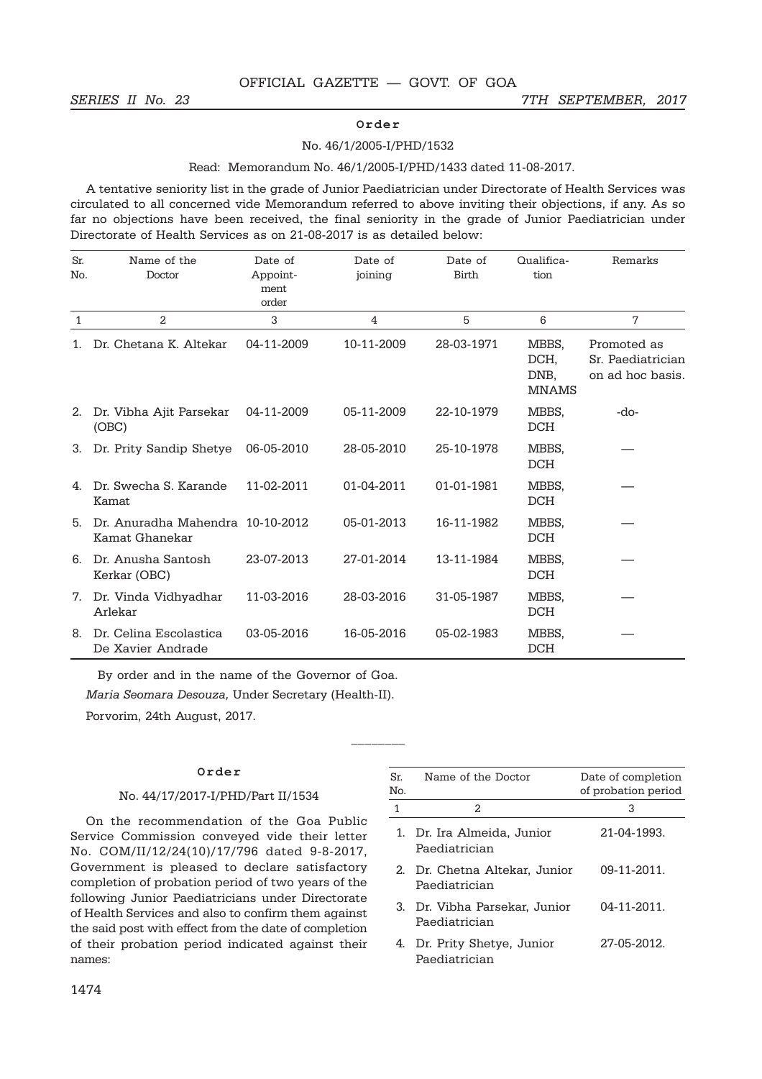#### **Order**

#### No. 46/1/2005-I/PHD/1532

## Read: Memorandum No. 46/1/2005-I/PHD/1433 dated 11-08-2017.

A tentative seniority list in the grade of Junior Paediatrician under Directorate of Health Services was circulated to all concerned vide Memorandum referred to above inviting their objections, if any. As so far no objections have been received, the final seniority in the grade of Junior Paediatrician under Directorate of Health Services as on 21-08-2017 is as detailed below:

| Sr.<br>No. | Name of the<br>Doctor                              | Date of<br>Appoint-<br>ment<br>order | Date of<br>joining | Date of<br><b>Birth</b> | Qualifica-<br>tion                    | Remarks                                              |
|------------|----------------------------------------------------|--------------------------------------|--------------------|-------------------------|---------------------------------------|------------------------------------------------------|
| 1          | 2                                                  | 3                                    | 4                  | 5                       | 6                                     | 7                                                    |
|            | Dr. Chetana K. Altekar                             | 04-11-2009                           | 10-11-2009         | 28-03-1971              | MBBS.<br>DCH.<br>DNB.<br><b>MNAMS</b> | Promoted as<br>Sr. Paediatrician<br>on ad hoc basis. |
| 2.         | Dr. Vibha Ajit Parsekar<br>(OBC)                   | 04-11-2009                           | 05-11-2009         | 22-10-1979              | MBBS,<br>DCH                          | -do-                                                 |
| 3.         | Dr. Prity Sandip Shetye                            | 06-05-2010                           | 28-05-2010         | 25-10-1978              | MBBS.<br>DCH                          |                                                      |
| 4          | Dr. Swecha S. Karande<br>Kamat                     | 11-02-2011                           | 01-04-2011         | 01-01-1981              | MBBS,<br>DCH                          |                                                      |
| 5.         | Dr. Anuradha Mahendra 10-10-2012<br>Kamat Ghanekar |                                      | 05-01-2013         | 16-11-1982              | MBBS.<br>DCH                          |                                                      |
| 6.         | Dr. Anusha Santosh<br>Kerkar (OBC)                 | 23-07-2013                           | 27-01-2014         | 13-11-1984              | MBBS,<br>DCH                          |                                                      |
| 7.         | Dr. Vinda Vidhyadhar<br>Arlekar                    | 11-03-2016                           | 28-03-2016         | 31-05-1987              | MBBS,<br>DCH                          |                                                      |
| 8.         | Dr. Celina Escolastica<br>De Xavier Andrade        | 03-05-2016                           | 16-05-2016         | 05-02-1983              | MBBS.<br>DCH                          |                                                      |

\_\_\_\_\_\_\_\_

By order and in the name of the Governor of Goa.

Maria Seomara Desouza, Under Secretary (Health-II).

Porvorim, 24th August, 2017.

#### **Order**

## No. 44/17/2017-I/PHD/Part II/1534

On the recommendation of the Goa Public Service Commission conveyed vide their letter No. COM/II/12/24(10)/17/796 dated 9-8-2017, Government is pleased to declare satisfactory completion of probation period of two years of the following Junior Paediatricians under Directorate of Health Services and also to confirm them against the said post with effect from the date of completion of their probation period indicated against their names:

| Name of the Doctor                             | Date of completion<br>of probation period |
|------------------------------------------------|-------------------------------------------|
| 2                                              | 3                                         |
| 1. Dr. Ira Almeida. Junior<br>Paediatrician    | $21-04-1993.$                             |
| 2. Dr. Chetna Altekar, Junior<br>Paediatrician | $09 - 11 - 2011$                          |
| 3. Dr. Vibha Parsekar, Junior<br>Paediatrician | $04 - 11 - 2011$ .                        |
| 4. Dr. Prity Shetye, Junior<br>Paediatrician   | $27-05-2012$                              |
|                                                |                                           |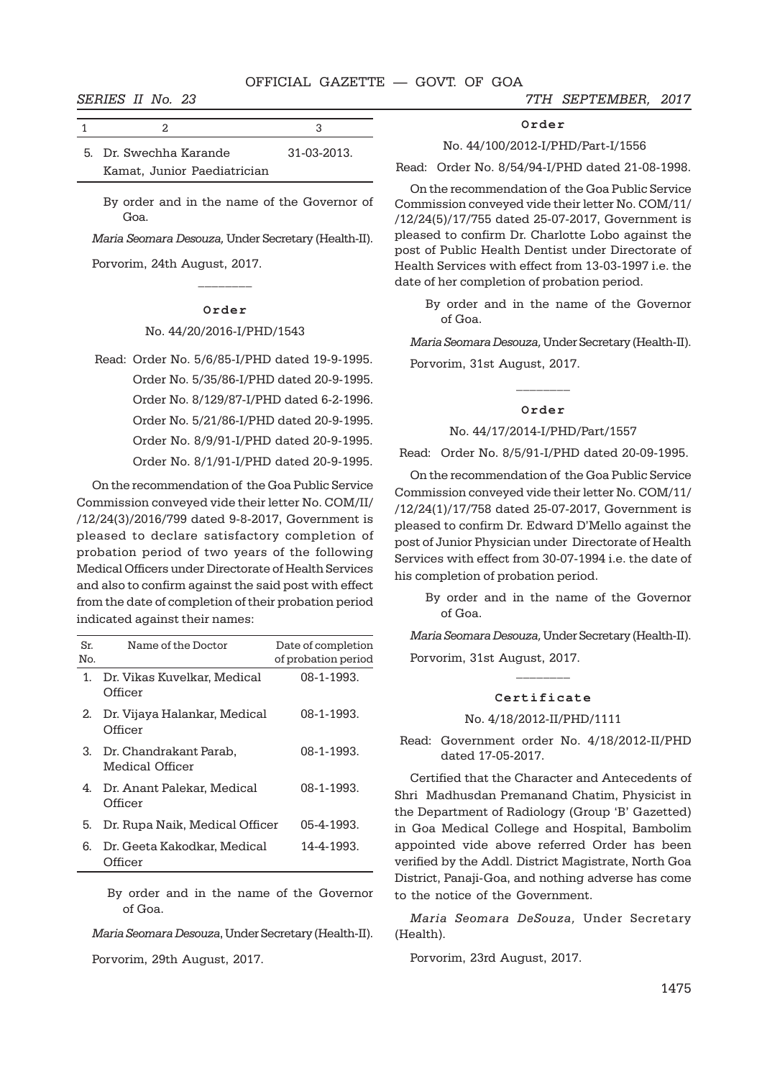## OFFICIAL GAZETTE — GOVT. OF GOA

## SERIES II No. 23 7TH SEPTEMBER, 2017

| 5. Dr. Swechha Karande      | $31 - 03 - 2013$ |
|-----------------------------|------------------|
| Kamat, Junior Paediatrician |                  |

By order and in the name of the Governor of Goa.

Maria Seomara Desouza, Under Secretary (Health-II).

Porvorim, 24th August, 2017.

## **Order**

\_\_\_\_\_\_\_\_

## No. 44/20/2016-I/PHD/1543

Read: Order No. 5/6/85-I/PHD dated 19-9-1995. Order No. 5/35/86-I/PHD dated 20-9-1995. Order No. 8/129/87-I/PHD dated 6-2-1996. Order No. 5/21/86-I/PHD dated 20-9-1995. Order No. 8/9/91-I/PHD dated 20-9-1995. Order No. 8/1/91-I/PHD dated 20-9-1995.

On the recommendation of the Goa Public Service Commission conveyed vide their letter No. COM/II/ /12/24(3)/2016/799 dated 9-8-2017, Government is pleased to declare satisfactory completion of probation period of two years of the following Medical Officers under Directorate of Health Services and also to confirm against the said post with effect from the date of completion of their probation period indicated against their names:

| Sr.<br>No. | Name of the Doctor                           | Date of completion<br>of probation period |
|------------|----------------------------------------------|-------------------------------------------|
| 1.         | Dr. Vikas Kuvelkar, Medical<br>Officer       | 08-1-1993.                                |
| 2.         | Dr. Vijaya Halankar, Medical<br>Officer      | 08-1-1993.                                |
|            | 3. Dr. Chandrakant Parab,<br>Medical Officer | 08-1-1993.                                |
| 4.         | Dr. Anant Palekar, Medical<br>Officer        | 08-1-1993.                                |
| 5.         | Dr. Rupa Naik, Medical Officer               | 05-4-1993.                                |
| 6.         | Dr. Geeta Kakodkar, Medical<br>Officer       | 14-4-1993.                                |

By order and in the name of the Governor of Goa.

Maria Seomara Desouza, Under Secretary (Health-II).

Porvorim, 29th August, 2017.

**Order**

#### No. 44/100/2012-I/PHD/Part-I/1556

Read: Order No. 8/54/94-I/PHD dated 21-08-1998.

On the recommendation of the Goa Public Service Commission conveyed vide their letter No. COM/11/ /12/24(5)/17/755 dated 25-07-2017, Government is pleased to confirm Dr. Charlotte Lobo against the post of Public Health Dentist under Directorate of Health Services with effect from 13-03-1997 i.e. the date of her completion of probation period.

By order and in the name of the Governor of Goa.

Maria Seomara Desouza, Under Secretary (Health-II).

Porvorim, 31st August, 2017.

## \_\_\_\_\_\_\_\_ **Order**

## No. 44/17/2014-I/PHD/Part/1557

Read: Order No. 8/5/91-I/PHD dated 20-09-1995.

On the recommendation of the Goa Public Service Commission conveyed vide their letter No. COM/11/ /12/24(1)/17/758 dated 25-07-2017, Government is pleased to confirm Dr. Edward D'Mello against the post of Junior Physician under Directorate of Health Services with effect from 30-07-1994 i.e. the date of his completion of probation period.

> By order and in the name of the Governor of Goa.

Maria Seomara Desouza, Under Secretary (Health-II).

Porvorim, 31st August, 2017.

## **Certificate**

\_\_\_\_\_\_\_\_

#### No. 4/18/2012-II/PHD/1111

Read: Government order No. 4/18/2012-II/PHD dated 17-05-2017.

Certified that the Character and Antecedents of Shri Madhusdan Premanand Chatim, Physicist in the Department of Radiology (Group 'B' Gazetted) in Goa Medical College and Hospital, Bambolim appointed vide above referred Order has been verified by the Addl. District Magistrate, North Goa District, Panaji-Goa, and nothing adverse has come to the notice of the Government.

Maria Seomara DeSouza, Under Secretary (Health).

Porvorim, 23rd August, 2017.